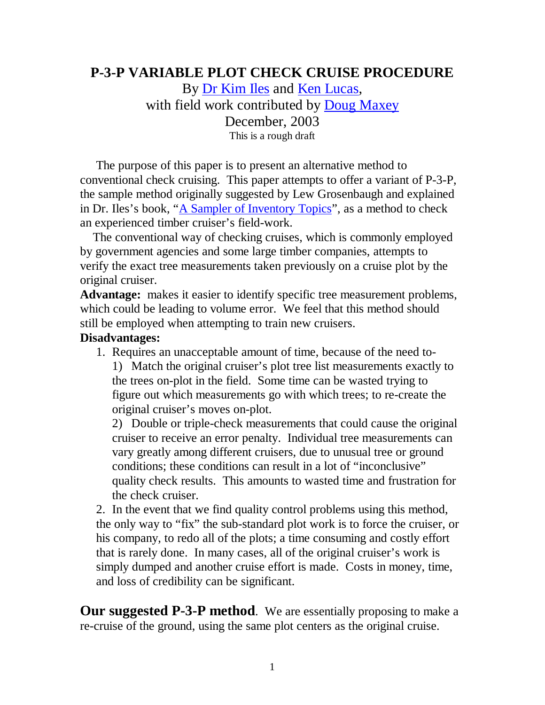## **P-3-P VARIABLE PLOT CHECK CRUISE PROCEDURE**

By [Dr Kim Iles](http://www.island.net/~kiles/resume.htm) and [Ken Lucas,](http://www.tsiwood.com/bio.htm) with field work contributed by [Doug Maxey](http://www.forestig.com/bios.htm) December, 2003 This is a rough draft

 The purpose of this paper is to present an alternative method to conventional check cruising. This paper attempts to offer a variant of P-3-P, the sample method originally suggested by Lew Grosenbaugh and explained in Dr. Iles's book, "[A Sampler of Inventory Topics"](http://www.island.net/~kiles/), as a method to check an experienced timber cruiser's field-work.

 The conventional way of checking cruises, which is commonly employed by government agencies and some large timber companies, attempts to verify the exact tree measurements taken previously on a cruise plot by the original cruiser.

**Advantage:** makes it easier to identify specific tree measurement problems, which could be leading to volume error. We feel that this method should still be employed when attempting to train new cruisers.

#### **Disadvantages:**

1. Requires an unacceptable amount of time, because of the need to-1) Match the original cruiser's plot tree list measurements exactly to the trees on-plot in the field. Some time can be wasted trying to figure out which measurements go with which trees; to re-create the original cruiser's moves on-plot.

2) Double or triple-check measurements that could cause the original cruiser to receive an error penalty. Individual tree measurements can vary greatly among different cruisers, due to unusual tree or ground conditions; these conditions can result in a lot of "inconclusive" quality check results. This amounts to wasted time and frustration for the check cruiser.

2. In the event that we find quality control problems using this method, the only way to "fix" the sub-standard plot work is to force the cruiser, or his company, to redo all of the plots; a time consuming and costly effort that is rarely done. In many cases, all of the original cruiser's work is simply dumped and another cruise effort is made. Costs in money, time, and loss of credibility can be significant.

**Our suggested P-3-P method**. We are essentially proposing to make a re-cruise of the ground, using the same plot centers as the original cruise.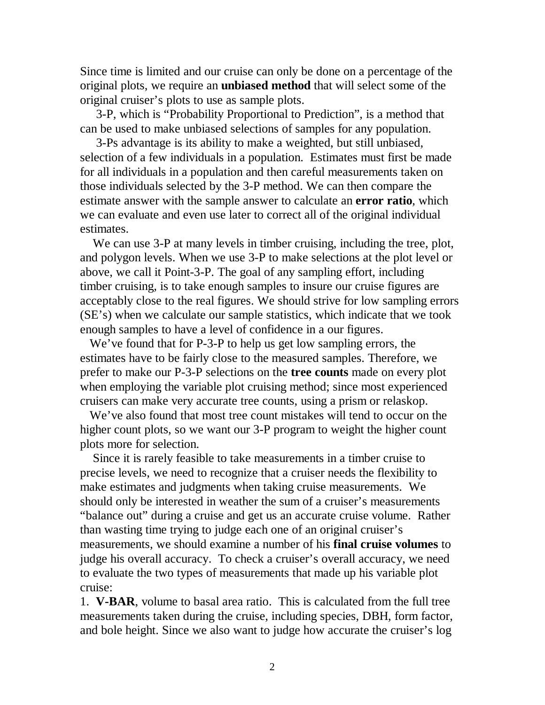Since time is limited and our cruise can only be done on a percentage of the original plots, we require an **unbiased method** that will select some of the original cruiser's plots to use as sample plots.

 3-P, which is "Probability Proportional to Prediction", is a method that can be used to make unbiased selections of samples for any population.

 3-Ps advantage is its ability to make a weighted, but still unbiased, selection of a few individuals in a population. Estimates must first be made for all individuals in a population and then careful measurements taken on those individuals selected by the 3-P method. We can then compare the estimate answer with the sample answer to calculate an **error ratio**, which we can evaluate and even use later to correct all of the original individual estimates.

We can use 3-P at many levels in timber cruising, including the tree, plot, and polygon levels. When we use 3-P to make selections at the plot level or above, we call it Point-3-P. The goal of any sampling effort, including timber cruising, is to take enough samples to insure our cruise figures are acceptably close to the real figures. We should strive for low sampling errors (SE's) when we calculate our sample statistics, which indicate that we took enough samples to have a level of confidence in a our figures.

We've found that for P-3-P to help us get low sampling errors, the estimates have to be fairly close to the measured samples. Therefore, we prefer to make our P-3-P selections on the **tree counts** made on every plot when employing the variable plot cruising method; since most experienced cruisers can make very accurate tree counts, using a prism or relaskop.

 We've also found that most tree count mistakes will tend to occur on the higher count plots, so we want our 3-P program to weight the higher count plots more for selection.

 Since it is rarely feasible to take measurements in a timber cruise to precise levels, we need to recognize that a cruiser needs the flexibility to make estimates and judgments when taking cruise measurements. We should only be interested in weather the sum of a cruiser's measurements "balance out" during a cruise and get us an accurate cruise volume. Rather than wasting time trying to judge each one of an original cruiser's measurements, we should examine a number of his **final cruise volumes** to judge his overall accuracy. To check a cruiser's overall accuracy, we need to evaluate the two types of measurements that made up his variable plot cruise:

1. **V-BAR**, volume to basal area ratio. This is calculated from the full tree measurements taken during the cruise, including species, DBH, form factor, and bole height. Since we also want to judge how accurate the cruiser's log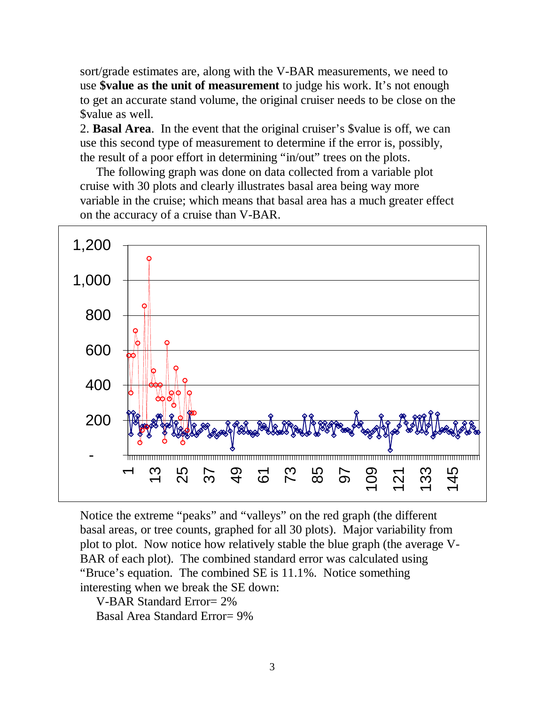sort/grade estimates are, along with the V-BAR measurements, we need to use **\$value as the unit of measurement** to judge his work. It's not enough to get an accurate stand volume, the original cruiser needs to be close on the \$value as well.

2. **Basal Area**. In the event that the original cruiser's \$value is off, we can use this second type of measurement to determine if the error is, possibly, the result of a poor effort in determining "in/out" trees on the plots.

 The following graph was done on data collected from a variable plot cruise with 30 plots and clearly illustrates basal area being way more variable in the cruise; which means that basal area has a much greater effect on the accuracy of a cruise than V-BAR.



Notice the extreme "peaks" and "valleys" on the red graph (the different basal areas, or tree counts, graphed for all 30 plots). Major variability from plot to plot. Now notice how relatively stable the blue graph (the average V-BAR of each plot). The combined standard error was calculated using "Bruce's equation. The combined SE is 11.1%. Notice something interesting when we break the SE down:

V-BAR Standard Error= 2%

Basal Area Standard Error= 9%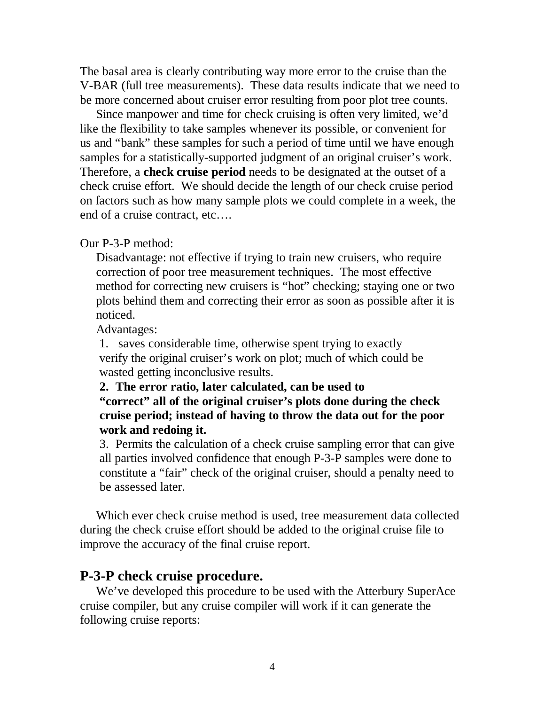The basal area is clearly contributing way more error to the cruise than the V-BAR (full tree measurements). These data results indicate that we need to be more concerned about cruiser error resulting from poor plot tree counts.

 Since manpower and time for check cruising is often very limited, we'd like the flexibility to take samples whenever its possible, or convenient for us and "bank" these samples for such a period of time until we have enough samples for a statistically-supported judgment of an original cruiser's work. Therefore, a **check cruise period** needs to be designated at the outset of a check cruise effort. We should decide the length of our check cruise period on factors such as how many sample plots we could complete in a week, the end of a cruise contract, etc….

#### Our P-3-P method:

 Disadvantage: not effective if trying to train new cruisers, who require correction of poor tree measurement techniques. The most effective method for correcting new cruisers is "hot" checking; staying one or two plots behind them and correcting their error as soon as possible after it is noticed.

Advantages:

 1. saves considerable time, otherwise spent trying to exactly verify the original cruiser's work on plot; much of which could be wasted getting inconclusive results.

#### **2. The error ratio, later calculated, can be used to "correct" all of the original cruiser's plots done during the check cruise period; instead of having to throw the data out for the poor work and redoing it.**

3. Permits the calculation of a check cruise sampling error that can give all parties involved confidence that enough P-3-P samples were done to constitute a "fair" check of the original cruiser, should a penalty need to be assessed later

 Which ever check cruise method is used, tree measurement data collected during the check cruise effort should be added to the original cruise file to improve the accuracy of the final cruise report.

#### **P-3-P check cruise procedure.**

 We've developed this procedure to be used with the Atterbury SuperAce cruise compiler, but any cruise compiler will work if it can generate the following cruise reports: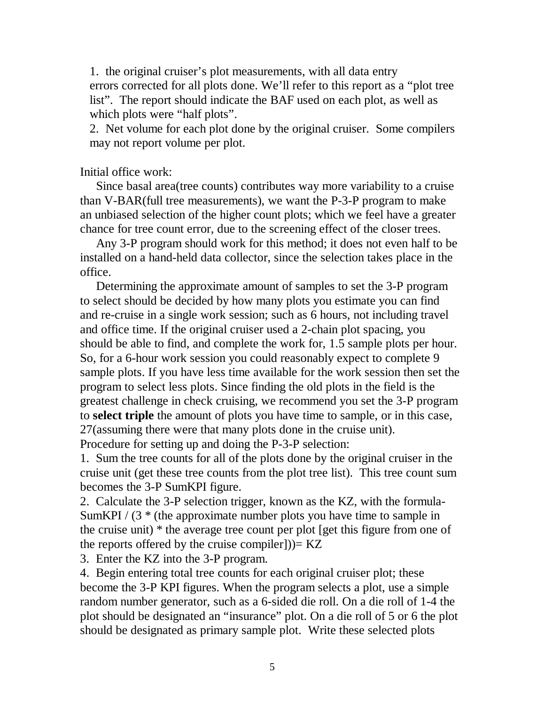1. the original cruiser's plot measurements, with all data entry errors corrected for all plots done. We'll refer to this report as a "plot tree list". The report should indicate the BAF used on each plot, as well as which plots were "half plots".

 2. Net volume for each plot done by the original cruiser. Some compilers may not report volume per plot.

#### Initial office work:

 Since basal area(tree counts) contributes way more variability to a cruise than V-BAR(full tree measurements), we want the P-3-P program to make an unbiased selection of the higher count plots; which we feel have a greater chance for tree count error, due to the screening effect of the closer trees.

 Any 3-P program should work for this method; it does not even half to be installed on a hand-held data collector, since the selection takes place in the office.

 Determining the approximate amount of samples to set the 3-P program to select should be decided by how many plots you estimate you can find and re-cruise in a single work session; such as 6 hours, not including travel and office time. If the original cruiser used a 2-chain plot spacing, you should be able to find, and complete the work for, 1.5 sample plots per hour. So, for a 6-hour work session you could reasonably expect to complete 9 sample plots. If you have less time available for the work session then set the program to select less plots. Since finding the old plots in the field is the greatest challenge in check cruising, we recommend you set the 3-P program to **select triple** the amount of plots you have time to sample, or in this case, 27(assuming there were that many plots done in the cruise unit). Procedure for setting up and doing the P-3-P selection:

1. Sum the tree counts for all of the plots done by the original cruiser in the cruise unit (get these tree counts from the plot tree list). This tree count sum becomes the 3-P SumKPI figure.

2. Calculate the 3-P selection trigger, known as the KZ, with the formula-SumKPI  $/$  (3  $*$  (the approximate number plots you have time to sample in the cruise unit) \* the average tree count per plot [get this figure from one of the reports offered by the cruise compiler]) $= KZ$ 

3. Enter the KZ into the 3-P program.

4. Begin entering total tree counts for each original cruiser plot; these become the 3-P KPI figures. When the program selects a plot, use a simple random number generator, such as a 6-sided die roll. On a die roll of 1-4 the plot should be designated an "insurance" plot. On a die roll of 5 or 6 the plot should be designated as primary sample plot. Write these selected plots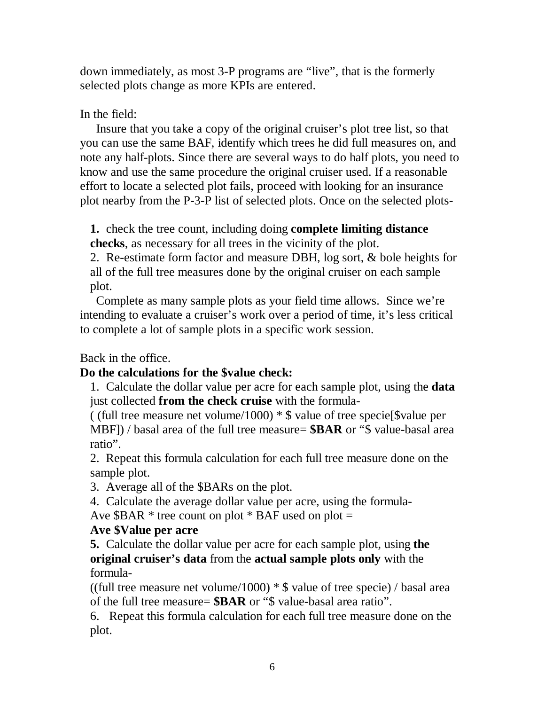down immediately, as most 3-P programs are "live", that is the formerly selected plots change as more KPIs are entered.

## In the field:

 Insure that you take a copy of the original cruiser's plot tree list, so that you can use the same BAF, identify which trees he did full measures on, and note any half-plots. Since there are several ways to do half plots, you need to know and use the same procedure the original cruiser used. If a reasonable effort to locate a selected plot fails, proceed with looking for an insurance plot nearby from the P-3-P list of selected plots. Once on the selected plots-

**1.** check the tree count, including doing **complete limiting distance checks**, as necessary for all trees in the vicinity of the plot.

2. Re-estimate form factor and measure DBH, log sort, & bole heights for all of the full tree measures done by the original cruiser on each sample plot.

 Complete as many sample plots as your field time allows. Since we're intending to evaluate a cruiser's work over a period of time, it's less critical to complete a lot of sample plots in a specific work session.

Back in the office.

### **Do the calculations for the \$value check:**

1. Calculate the dollar value per acre for each sample plot, using the **data**  just collected **from the check cruise** with the formula-

( (full tree measure net volume/1000)  $\ast$  \$ value of tree specie [\$value per MBF]) / basal area of the full tree measure= **\$BAR** or "\$ value-basal area ratio".

2. Repeat this formula calculation for each full tree measure done on the sample plot.

3. Average all of the \$BARs on the plot.

4. Calculate the average dollar value per acre, using the formula-

Ave  $$BAR * tree count on plot * BAF used on plot =$ 

### **Ave \$Value per acre**

**5.** Calculate the dollar value per acre for each sample plot, using **the original cruiser's data** from the **actual sample plots only** with the formula-

((full tree measure net volume/1000)  $*$  \$ value of tree specie) / basal area of the full tree measure= **\$BAR** or "\$ value-basal area ratio".

6. Repeat this formula calculation for each full tree measure done on the plot.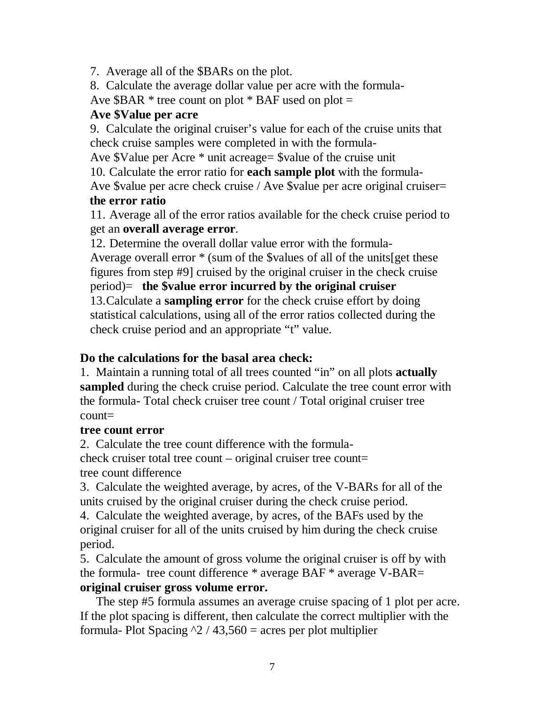7. Average all of the \$BARs on the plot.

8. Calculate the average dollar value per acre with the formula-

Ave \$BAR  $*$  tree count on plot  $*$  BAF used on plot  $=$ 

## **Ave \$Value per acre**

9. Calculate the original cruiser's value for each of the cruise units that check cruise samples were completed in with the formula-

Ave \$Value per Acre \* unit acreage= \$value of the cruise unit

10. Calculate the error ratio for **each sample plot** with the formula-

Ave \$value per acre check cruise / Ave \$value per acre original cruiser=  **the error ratio** 

11. Average all of the error ratios available for the check cruise period to get an **overall average error**.

12. Determine the overall dollar value error with the formula-

Average overall error \* (sum of the \$values of all of the units[get these figures from step #9] cruised by the original cruiser in the check cruise

period)= **the \$value error incurred by the original cruiser** 

13. Calculate a **sampling error** for the check cruise effort by doing statistical calculations, using all of the error ratios collected during the check cruise period and an appropriate "t" value.

## **Do the calculations for the basal area check:**

1. Maintain a running total of all trees counted "in" on all plots **actually sampled** during the check cruise period. Calculate the tree count error with the formula- Total check cruiser tree count / Total original cruiser tree  $count=$ 

## **tree count error**

2. Calculate the tree count difference with the formulacheck cruiser total tree count – original cruiser tree count= tree count difference

3. Calculate the weighted average, by acres, of the V-BARs for all of the units cruised by the original cruiser during the check cruise period.

4. Calculate the weighted average, by acres, of the BAFs used by the original cruiser for all of the units cruised by him during the check cruise period.

5. Calculate the amount of gross volume the original cruiser is off by with the formula- tree count difference \* average BAF \* average V-BAR= **original cruiser gross volume error.** 

 The step #5 formula assumes an average cruise spacing of 1 plot per acre. If the plot spacing is different, then calculate the correct multiplier with the formula- Plot Spacing  $\frac{2}{43,560}$  = acres per plot multiplier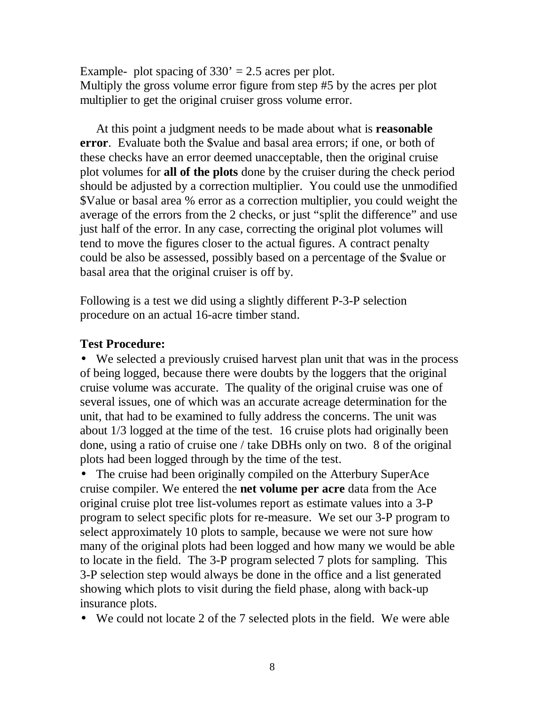Example- plot spacing of  $330' = 2.5$  acres per plot. Multiply the gross volume error figure from step #5 by the acres per plot multiplier to get the original cruiser gross volume error.

 At this point a judgment needs to be made about what is **reasonable error**. Evaluate both the \$value and basal area errors; if one, or both of these checks have an error deemed unacceptable, then the original cruise plot volumes for **all of the plots** done by the cruiser during the check period should be adjusted by a correction multiplier. You could use the unmodified \$Value or basal area % error as a correction multiplier, you could weight the average of the errors from the 2 checks, or just "split the difference" and use just half of the error. In any case, correcting the original plot volumes will tend to move the figures closer to the actual figures. A contract penalty could be also be assessed, possibly based on a percentage of the \$value or basal area that the original cruiser is off by.

Following is a test we did using a slightly different P-3-P selection procedure on an actual 16-acre timber stand.

### **Test Procedure:**

• We selected a previously cruised harvest plan unit that was in the process of being logged, because there were doubts by the loggers that the original cruise volume was accurate. The quality of the original cruise was one of several issues, one of which was an accurate acreage determination for the unit, that had to be examined to fully address the concerns. The unit was about 1/3 logged at the time of the test. 16 cruise plots had originally been done, using a ratio of cruise one / take DBHs only on two. 8 of the original plots had been logged through by the time of the test.

• The cruise had been originally compiled on the Atterbury SuperAce cruise compiler. We entered the **net volume per acre** data from the Ace original cruise plot tree list-volumes report as estimate values into a 3-P program to select specific plots for re-measure. We set our 3-P program to select approximately 10 plots to sample, because we were not sure how many of the original plots had been logged and how many we would be able to locate in the field. The 3-P program selected 7 plots for sampling. This 3-P selection step would always be done in the office and a list generated showing which plots to visit during the field phase, along with back-up insurance plots.

• We could not locate 2 of the 7 selected plots in the field. We were able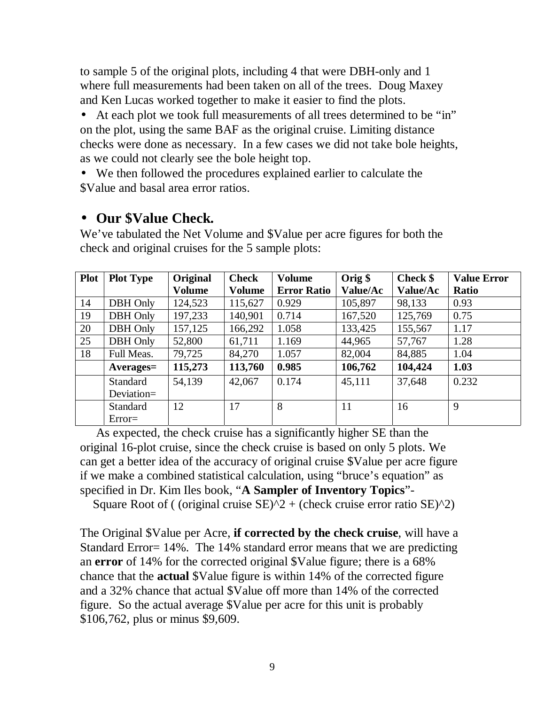to sample 5 of the original plots, including 4 that were DBH-only and 1 where full measurements had been taken on all of the trees. Doug Maxey and Ken Lucas worked together to make it easier to find the plots.

• At each plot we took full measurements of all trees determined to be "in" on the plot, using the same BAF as the original cruise. Limiting distance checks were done as necessary. In a few cases we did not take bole heights, as we could not clearly see the bole height top.

• We then followed the procedures explained earlier to calculate the \$Value and basal area error ratios.

## • **Our \$Value Check.**

We've tabulated the Net Volume and \$Value per acre figures for both the check and original cruises for the 5 sample plots:

| <b>Plot</b> | <b>Plot Type</b> | <b>Original</b> | <b>Check</b>  | <b>Volume</b>      | Orig \$  | Check \$ | <b>Value Error</b> |
|-------------|------------------|-----------------|---------------|--------------------|----------|----------|--------------------|
|             |                  | Volume          | <b>Volume</b> | <b>Error Ratio</b> | Value/Ac | Value/Ac | <b>Ratio</b>       |
| 14          | <b>DBH</b> Only  | 124,523         | 115,627       | 0.929              | 105,897  | 98,133   | 0.93               |
| 19          | <b>DBH</b> Only  | 197,233         | 140,901       | 0.714              | 167,520  | 125,769  | 0.75               |
| 20          | DBH Only         | 157,125         | 166,292       | 1.058              | 133,425  | 155,567  | 1.17               |
| 25          | DBH Only         | 52,800          | 61,711        | 1.169              | 44,965   | 57,767   | 1.28               |
| 18          | Full Meas.       | 79,725          | 84,270        | 1.057              | 82,004   | 84,885   | 1.04               |
|             | $A$ verages $=$  | 115,273         | 113,760       | 0.985              | 106,762  | 104,424  | 1.03               |
|             | Standard         | 54,139          | 42,067        | 0.174              | 45,111   | 37,648   | 0.232              |
|             | Deviation=       |                 |               |                    |          |          |                    |
|             | Standard         | 12              | 17            | 8                  | 11       | 16       | 9                  |
|             | $Error =$        |                 |               |                    |          |          |                    |

 As expected, the check cruise has a significantly higher SE than the original 16-plot cruise, since the check cruise is based on only 5 plots. We can get a better idea of the accuracy of original cruise \$Value per acre figure if we make a combined statistical calculation, using "bruce's equation" as specified in Dr. Kim Iles book, "**A Sampler of Inventory Topics**"-

Square Root of ( (original cruise  $SE$ ) $^2$  + (check cruise error ratio  $SE$ ) $^2$ )

The Original \$Value per Acre, **if corrected by the check cruise**, will have a Standard Error= 14%. The 14% standard error means that we are predicting an **error** of 14% for the corrected original \$Value figure; there is a 68% chance that the **actual** \$Value figure is within 14% of the corrected figure and a 32% chance that actual \$Value off more than 14% of the corrected figure. So the actual average \$Value per acre for this unit is probably \$106,762, plus or minus \$9,609.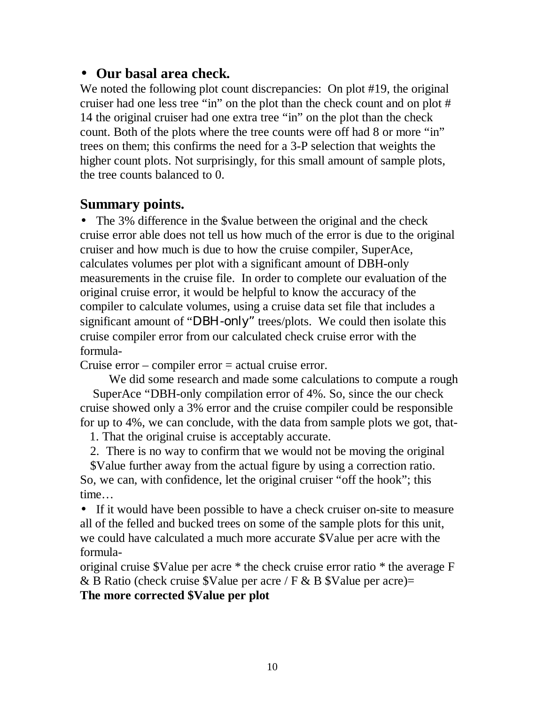## • **Our basal area check.**

We noted the following plot count discrepancies: On plot #19, the original cruiser had one less tree "in" on the plot than the check count and on plot # 14 the original cruiser had one extra tree "in" on the plot than the check count. Both of the plots where the tree counts were off had 8 or more "in" trees on them; this confirms the need for a 3-P selection that weights the higher count plots. Not surprisingly, for this small amount of sample plots, the tree counts balanced to 0.

# **Summary points.**

• The 3% difference in the \$value between the original and the check cruise error able does not tell us how much of the error is due to the original cruiser and how much is due to how the cruise compiler, SuperAce, calculates volumes per plot with a significant amount of DBH-only measurements in the cruise file. In order to complete our evaluation of the original cruise error, it would be helpful to know the accuracy of the compiler to calculate volumes, using a cruise data set file that includes a significant amount of "DBH-only" trees/plots. We could then isolate this cruise compiler error from our calculated check cruise error with the formula-

Cruise error – compiler error = actual cruise error.

 We did some research and made some calculations to compute a rough SuperAce "DBH-only compilation error of 4%. So, since the our check cruise showed only a 3% error and the cruise compiler could be responsible for up to 4%, we can conclude, with the data from sample plots we got, that-

1. That the original cruise is acceptably accurate.

2. There is no way to confirm that we would not be moving the original

\$Value further away from the actual figure by using a correction ratio. So, we can, with confidence, let the original cruiser "off the hook"; this time…

• If it would have been possible to have a check cruiser on-site to measure all of the felled and bucked trees on some of the sample plots for this unit, we could have calculated a much more accurate \$Value per acre with the formula-

original cruise \$Value per acre \* the check cruise error ratio \* the average F & B Ratio (check cruise \$Value per acre / F & B \$Value per acre)= **The more corrected \$Value per plot**